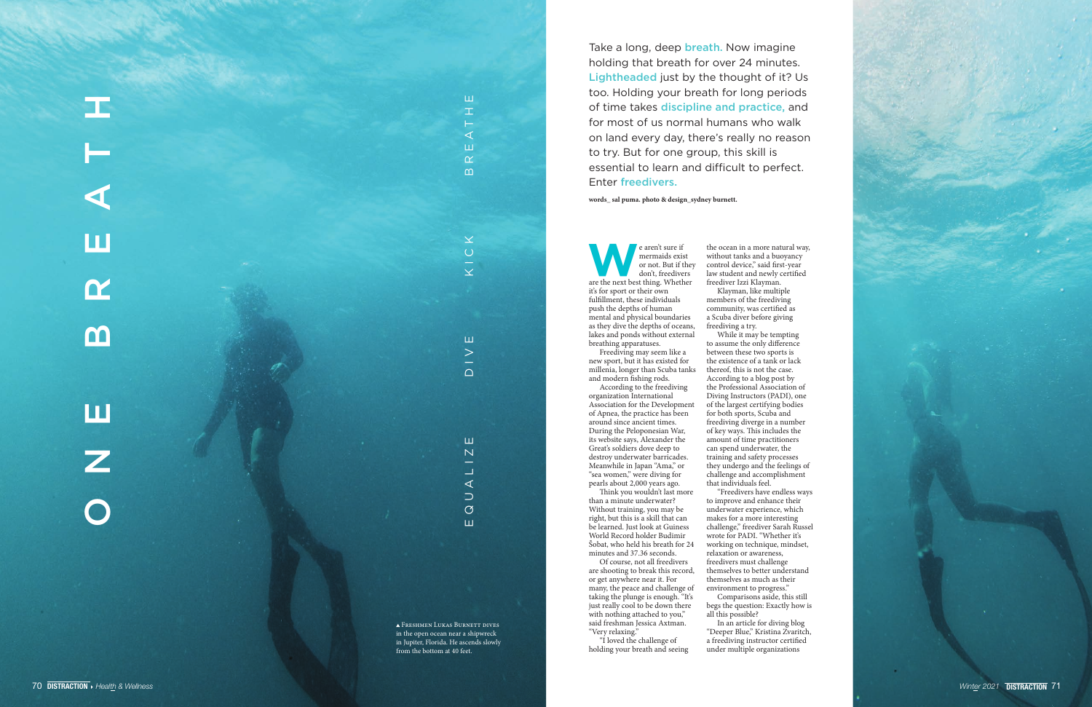

in the open ocean near a shipwreck in Jupiter, Florida. He ascends slowly<br>from the bottom at 40 feet.



Take a long, deep **breath**. Now imagine holding that breath for over 24 minutes. Lightheaded just by the thought of it? Us too. Holding your breath for long periods of time takes discipline and practice, and for most of us normal humans who walk on land every day, there's really no reason to try. But for one group, this skill is essential to learn and difficult to perfect. Enter freedivers.

e aren't sure if<br>
mermaids exist<br>
or not. But if they<br>
don't, freedivers<br>
are the next best thing. Whether mermaids exist or not. But if they don't, freedivers it's for sport or their own fulfillment, these individuals push the depths of human mental and physical boundaries as they dive the depths of oceans, lakes and ponds without external breathing apparatuses.

**words\_ sal puma. photo & design\_sydney burnett.** 

Freediving may seem like a new sport, but it has existed for millenia, longer than Scuba tanks and modern fishing rods.

According to the freediving organization International Association for the Development of Apnea, the practice has been around since ancient times. During the Peloponesian War, its website says, Alexander the Great's soldiers dove deep to destroy underwater barricades. Meanwhile in Japan "Ama," or "sea women," were diving for pearls about 2,000 years ago.

Think you wouldn't last more than a minute underwater? Without training, you may be right, but this is a skill that can be learned. Just look at Guiness World Record holder Budimir Šobat, who held his breath for 24 minutes and 37.36 seconds.

Of course, not all freedivers are shooting to break this record, or get anywhere near it. For many, the peace and challenge of taking the plunge is enough. "It's just really cool to be down there with nothing attached to you," said freshman Jessica Axtman. "Very relaxing."

"I loved the challenge of holding your breath and seeing

the ocean in a more natural way, without tanks and a buoyancy control device," said first-year law student and newly certified freediver Izzi Klayman.

Klayman, like multiple members of the freediving community, was certified as a Scuba diver before giving freediving a try.

While it may be tempting to assume the only difference between these two sports is the existence of a tank or lack thereof, this is not the case. According to a blog post by the Professional Association of Diving Instructors (PADI), one of the largest certifying bodies for both sports, Scuba and freediving diverge in a number of key ways. This includes the amount of time practitioners can spend underwater, the training and safety processes they undergo and the feelings of challenge and accomplishment that individuals feel.

"Freedivers have endless ways to improve and enhance their underwater experience, which makes for a more interesting challenge," freediver Sarah Russel wrote for PADI. "Whether it's working on technique, mindset, relaxation or awareness, freedivers must challenge themselves to better understand themselves as much as their environment to progress."

Comparisons aside, this still begs the question: Exactly how is all this possible?

In an article for diving blog "Deeper Blue," Kristina Zvaritch, a freediving instructor certified under multiple organizations